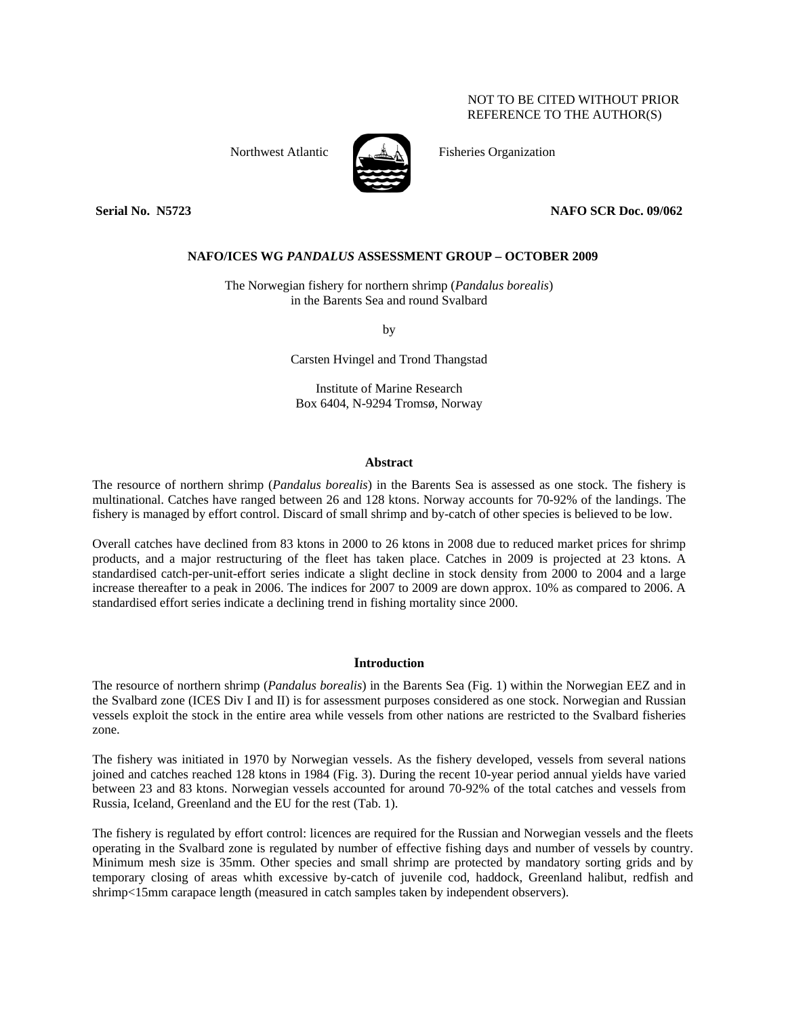# NOT TO BE CITED WITHOUT PRIOR REFERENCE TO THE AUTHOR(S)



Northwest Atlantic Fisheries Organization

# **Serial No. N5723 NAFO SCR Doc. 09/062**

# **NAFO/ICES WG** *PANDALUS* **ASSESSMENT GROUP – OCTOBER 2009**

The Norwegian fishery for northern shrimp (*Pandalus borealis*) in the Barents Sea and round Svalbard

by

Carsten Hvingel and Trond Thangstad

Institute of Marine Research Box 6404, N-9294 Tromsø, Norway

## **Abstract**

The resource of northern shrimp (*Pandalus borealis*) in the Barents Sea is assessed as one stock. The fishery is multinational. Catches have ranged between 26 and 128 ktons. Norway accounts for 70-92% of the landings. The fishery is managed by effort control. Discard of small shrimp and by-catch of other species is believed to be low.

Overall catches have declined from 83 ktons in 2000 to 26 ktons in 2008 due to reduced market prices for shrimp products, and a major restructuring of the fleet has taken place. Catches in 2009 is projected at 23 ktons. A standardised catch-per-unit-effort series indicate a slight decline in stock density from 2000 to 2004 and a large increase thereafter to a peak in 2006. The indices for 2007 to 2009 are down approx. 10% as compared to 2006. A standardised effort series indicate a declining trend in fishing mortality since 2000.

# **Introduction**

The resource of northern shrimp (*Pandalus borealis*) in the Barents Sea (Fig. 1) within the Norwegian EEZ and in the Svalbard zone (ICES Div I and II) is for assessment purposes considered as one stock. Norwegian and Russian vessels exploit the stock in the entire area while vessels from other nations are restricted to the Svalbard fisheries zone.

The fishery was initiated in 1970 by Norwegian vessels. As the fishery developed, vessels from several nations joined and catches reached 128 ktons in 1984 (Fig. 3). During the recent 10-year period annual yields have varied between 23 and 83 ktons. Norwegian vessels accounted for around 70-92% of the total catches and vessels from Russia, Iceland, Greenland and the EU for the rest (Tab. 1).

The fishery is regulated by effort control: licences are required for the Russian and Norwegian vessels and the fleets operating in the Svalbard zone is regulated by number of effective fishing days and number of vessels by country. Minimum mesh size is 35mm. Other species and small shrimp are protected by mandatory sorting grids and by temporary closing of areas whith excessive by-catch of juvenile cod, haddock, Greenland halibut, redfish and shrimp<15mm carapace length (measured in catch samples taken by independent observers).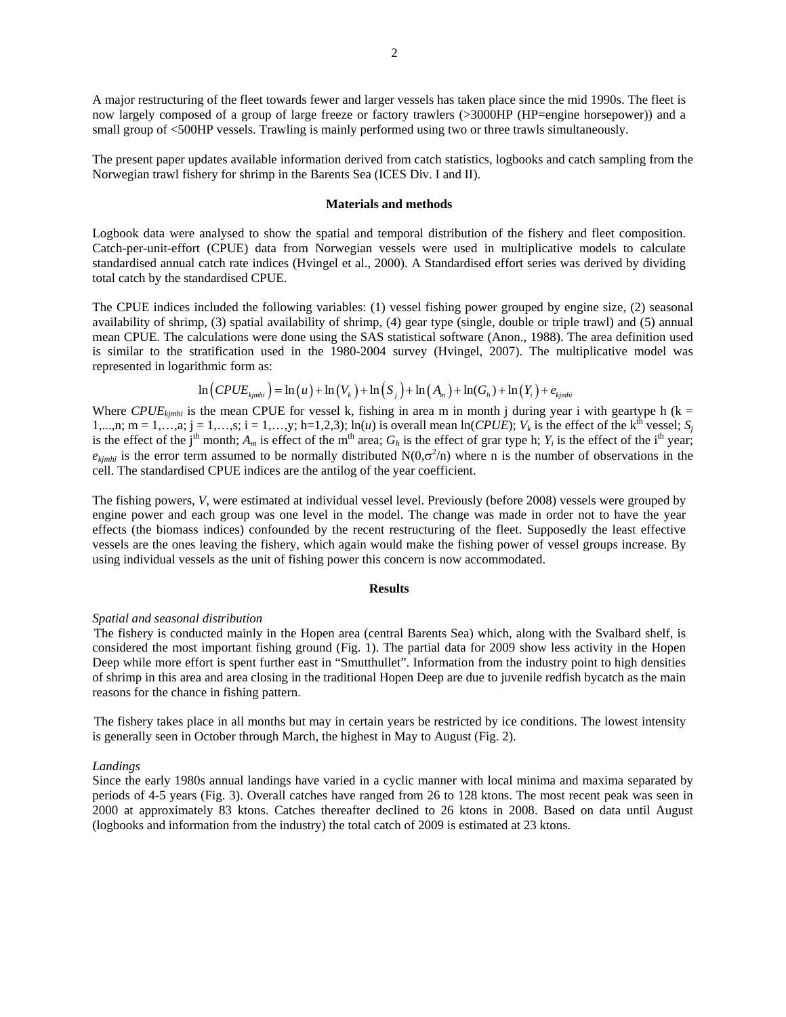2

A major restructuring of the fleet towards fewer and larger vessels has taken place since the mid 1990s. The fleet is now largely composed of a group of large freeze or factory trawlers (>3000HP (HP=engine horsepower)) and a small group of <500HP vessels. Trawling is mainly performed using two or three trawls simultaneously.

The present paper updates available information derived from catch statistics, logbooks and catch sampling from the Norwegian trawl fishery for shrimp in the Barents Sea (ICES Div. I and II).

# **Materials and methods**

Logbook data were analysed to show the spatial and temporal distribution of the fishery and fleet composition. Catch-per-unit-effort (CPUE) data from Norwegian vessels were used in multiplicative models to calculate standardised annual catch rate indices (Hvingel et al., 2000). A Standardised effort series was derived by dividing total catch by the standardised CPUE.

The CPUE indices included the following variables: (1) vessel fishing power grouped by engine size, (2) seasonal availability of shrimp, (3) spatial availability of shrimp, (4) gear type (single, double or triple trawl) and (5) annual mean CPUE. The calculations were done using the SAS statistical software (Anon., 1988). The area definition used is similar to the stratification used in the 1980-2004 survey (Hvingel, 2007). The multiplicative model was represented in logarithmic form as:

$$
\ln\left(CPUE_{kjmhi}\right) = \ln\left(u\right) + \ln\left(V_k\right) + \ln\left(S_j\right) + \ln\left(A_m\right) + \ln\left(G_h\right) + \ln\left(Y_i\right) + e_{kjmhi}
$$

Where  $CPUE_{kimhi}$  is the mean CPUE for vessel k, fishing in area m in month j during year i with geartype h (k = 1,...,n; m = 1,...,a; j = 1,...,s; i = 1,...,y; h=1,2,3); ln(*u*) is overall mean ln(*CPUE*);  $V_k$  is the effect of the k<sup>th</sup> vessel;  $S_i$ is the effect of the j<sup>th</sup> month;  $A_m$  is effect of the m<sup>th</sup> area;  $G_h$  is the effect of grar type h;  $Y_i$  is the effect of the i<sup>th</sup> year;  $e_{kjmhi}$  is the error term assumed to be normally distributed  $N(0,\sigma^2/n)$  where n is the number of observations in the cell. The standardised CPUE indices are the antilog of the year coefficient.

The fishing powers, *V*, were estimated at individual vessel level. Previously (before 2008) vessels were grouped by engine power and each group was one level in the model. The change was made in order not to have the year effects (the biomass indices) confounded by the recent restructuring of the fleet. Supposedly the least effective vessels are the ones leaving the fishery, which again would make the fishing power of vessel groups increase. By using individual vessels as the unit of fishing power this concern is now accommodated.

### **Results**

#### *Spatial and seasonal distribution*

The fishery is conducted mainly in the Hopen area (central Barents Sea) which, along with the Svalbard shelf, is considered the most important fishing ground (Fig. 1). The partial data for 2009 show less activity in the Hopen Deep while more effort is spent further east in "Smutthullet". Information from the industry point to high densities of shrimp in this area and area closing in the traditional Hopen Deep are due to juvenile redfish bycatch as the main reasons for the chance in fishing pattern.

The fishery takes place in all months but may in certain years be restricted by ice conditions. The lowest intensity is generally seen in October through March, the highest in May to August (Fig. 2).

### *Landings*

Since the early 1980s annual landings have varied in a cyclic manner with local minima and maxima separated by periods of 4-5 years (Fig. 3). Overall catches have ranged from 26 to 128 ktons. The most recent peak was seen in 2000 at approximately 83 ktons. Catches thereafter declined to 26 ktons in 2008. Based on data until August (logbooks and information from the industry) the total catch of 2009 is estimated at 23 ktons.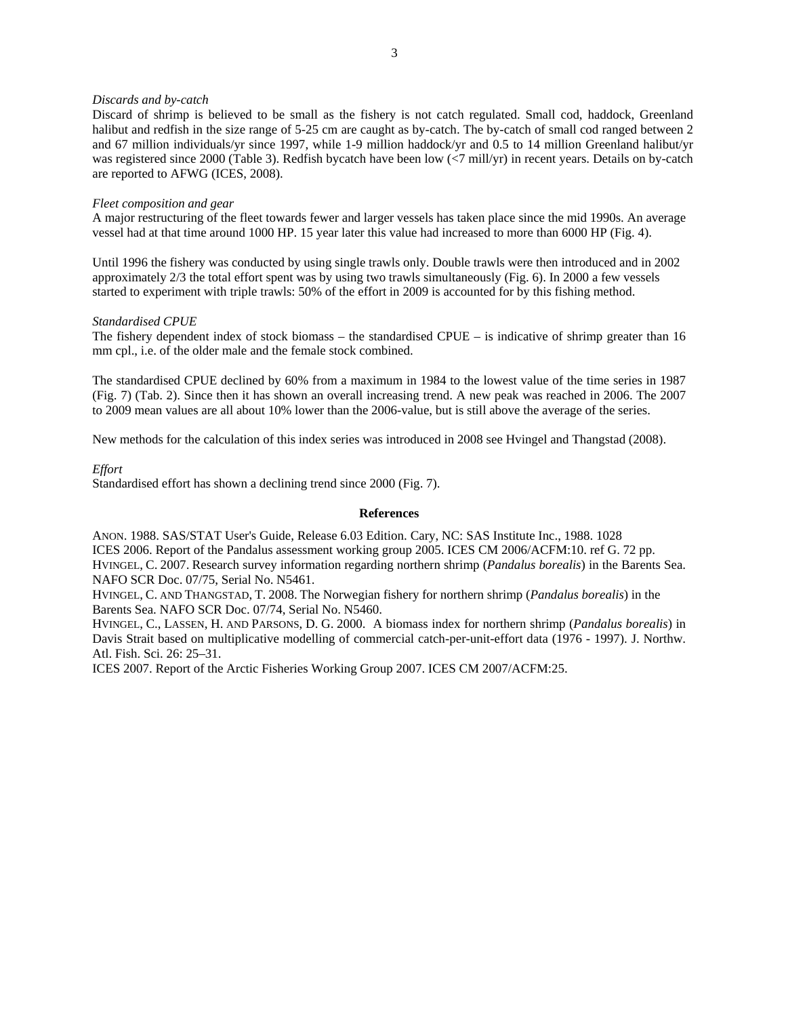### *Discards and by-catch*

Discard of shrimp is believed to be small as the fishery is not catch regulated. Small cod, haddock, Greenland halibut and redfish in the size range of 5-25 cm are caught as by-catch. The by-catch of small cod ranged between 2 and 67 million individuals/yr since 1997, while 1-9 million haddock/yr and 0.5 to 14 million Greenland halibut/yr was registered since 2000 (Table 3). Redfish bycatch have been low  $\langle$ <7 mill/yr) in recent years. Details on by-catch are reported to AFWG (ICES, 2008).

### *Fleet composition and gear*

A major restructuring of the fleet towards fewer and larger vessels has taken place since the mid 1990s. An average vessel had at that time around 1000 HP. 15 year later this value had increased to more than 6000 HP (Fig. 4).

Until 1996 the fishery was conducted by using single trawls only. Double trawls were then introduced and in 2002 approximately 2/3 the total effort spent was by using two trawls simultaneously (Fig. 6). In 2000 a few vessels started to experiment with triple trawls: 50% of the effort in 2009 is accounted for by this fishing method.

## *Standardised CPUE*

The fishery dependent index of stock biomass – the standardised CPUE – is indicative of shrimp greater than 16 mm cpl., i.e. of the older male and the female stock combined.

The standardised CPUE declined by 60% from a maximum in 1984 to the lowest value of the time series in 1987 (Fig. 7) (Tab. 2). Since then it has shown an overall increasing trend. A new peak was reached in 2006. The 2007 to 2009 mean values are all about 10% lower than the 2006-value, but is still above the average of the series.

New methods for the calculation of this index series was introduced in 2008 see Hvingel and Thangstad (2008).

### *Effort*

Standardised effort has shown a declining trend since 2000 (Fig. 7).

### **References**

ANON. 1988. SAS/STAT User's Guide, Release 6.03 Edition. Cary, NC: SAS Institute Inc., 1988. 1028 ICES 2006. Report of the Pandalus assessment working group 2005. ICES CM 2006/ACFM:10. ref G. 72 pp. HVINGEL, C. 2007. Research survey information regarding northern shrimp (*Pandalus borealis*) in the Barents Sea. NAFO SCR Doc. 07/75, Serial No. N5461.

HVINGEL, C. AND THANGSTAD, T. 2008. The Norwegian fishery for northern shrimp (*Pandalus borealis*) in the Barents Sea. NAFO SCR Doc. 07/74, Serial No. N5460.

HVINGEL, C., LASSEN, H. AND PARSONS, D. G. 2000. A biomass index for northern shrimp (*Pandalus borealis*) in Davis Strait based on multiplicative modelling of commercial catch-per-unit-effort data (1976 - 1997). J. Northw. Atl. Fish. Sci. 26: 25–31.

ICES 2007. Report of the Arctic Fisheries Working Group 2007. ICES CM 2007/ACFM:25.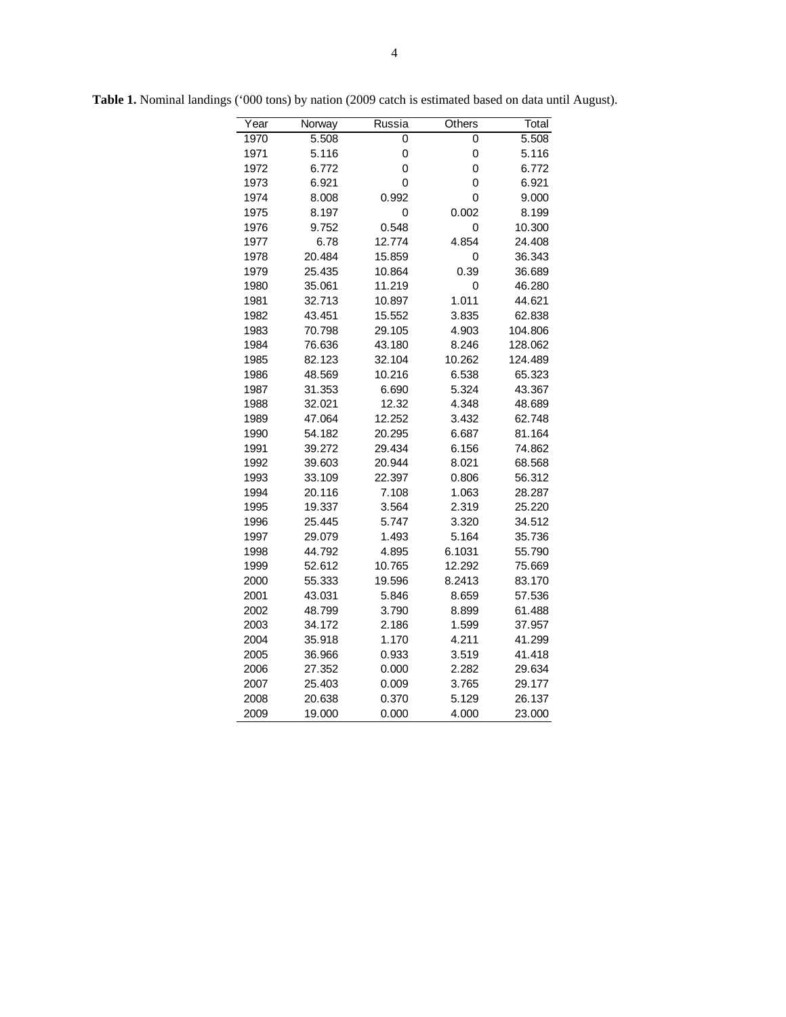| $\overline{Y}$ ear | Norway | Russia | Others | Total   |
|--------------------|--------|--------|--------|---------|
| 1970               | 5.508  | 0      | 0      | 5.508   |
| 1971               | 5.116  | 0      | 0      | 5.116   |
| 1972               | 6.772  | 0      | 0      | 6.772   |
| 1973               | 6.921  | 0      | 0      | 6.921   |
| 1974               | 8.008  | 0.992  | 0      | 9.000   |
| 1975               | 8.197  | 0      | 0.002  | 8.199   |
| 1976               | 9.752  | 0.548  | 0      | 10.300  |
| 1977               | 6.78   | 12.774 | 4.854  | 24.408  |
| 1978               | 20.484 | 15.859 | 0      | 36.343  |
| 1979               | 25.435 | 10.864 | 0.39   | 36.689  |
| 1980               | 35.061 | 11.219 | 0      | 46.280  |
| 1981               | 32.713 | 10.897 | 1.011  | 44.621  |
| 1982               | 43.451 | 15.552 | 3.835  | 62.838  |
| 1983               | 70.798 | 29.105 | 4.903  | 104.806 |
| 1984               | 76.636 | 43.180 | 8.246  | 128.062 |
| 1985               | 82.123 | 32.104 | 10.262 | 124.489 |
| 1986               | 48.569 | 10.216 | 6.538  | 65.323  |
| 1987               | 31.353 | 6.690  | 5.324  | 43.367  |
| 1988               | 32.021 | 12.32  | 4.348  | 48.689  |
| 1989               | 47.064 | 12.252 | 3.432  | 62.748  |
| 1990               | 54.182 | 20.295 | 6.687  | 81.164  |
| 1991               | 39.272 | 29.434 | 6.156  | 74.862  |
| 1992               | 39.603 | 20.944 | 8.021  | 68.568  |
| 1993               | 33.109 | 22.397 | 0.806  | 56.312  |
| 1994               | 20.116 | 7.108  | 1.063  | 28.287  |
| 1995               | 19.337 | 3.564  | 2.319  | 25.220  |
| 1996               | 25.445 | 5.747  | 3.320  | 34.512  |
| 1997               | 29.079 | 1.493  | 5.164  | 35.736  |
| 1998               | 44.792 | 4.895  | 6.1031 | 55.790  |
| 1999               | 52.612 | 10.765 | 12.292 | 75.669  |
| 2000               | 55.333 | 19.596 | 8.2413 | 83.170  |
| 2001               | 43.031 | 5.846  | 8.659  | 57.536  |
| 2002               | 48.799 | 3.790  | 8.899  | 61.488  |
| 2003               | 34.172 | 2.186  | 1.599  | 37.957  |
| 2004               | 35.918 | 1.170  | 4.211  | 41.299  |
| 2005               | 36.966 | 0.933  | 3.519  | 41.418  |
| 2006               | 27.352 | 0.000  | 2.282  | 29.634  |
| 2007               | 25.403 | 0.009  | 3.765  | 29.177  |
| 2008               | 20.638 | 0.370  | 5.129  | 26.137  |
| 2009               | 19.000 | 0.000  | 4.000  | 23.000  |

**Table 1.** Nominal landings ('000 tons) by nation (2009 catch is estimated based on data until August).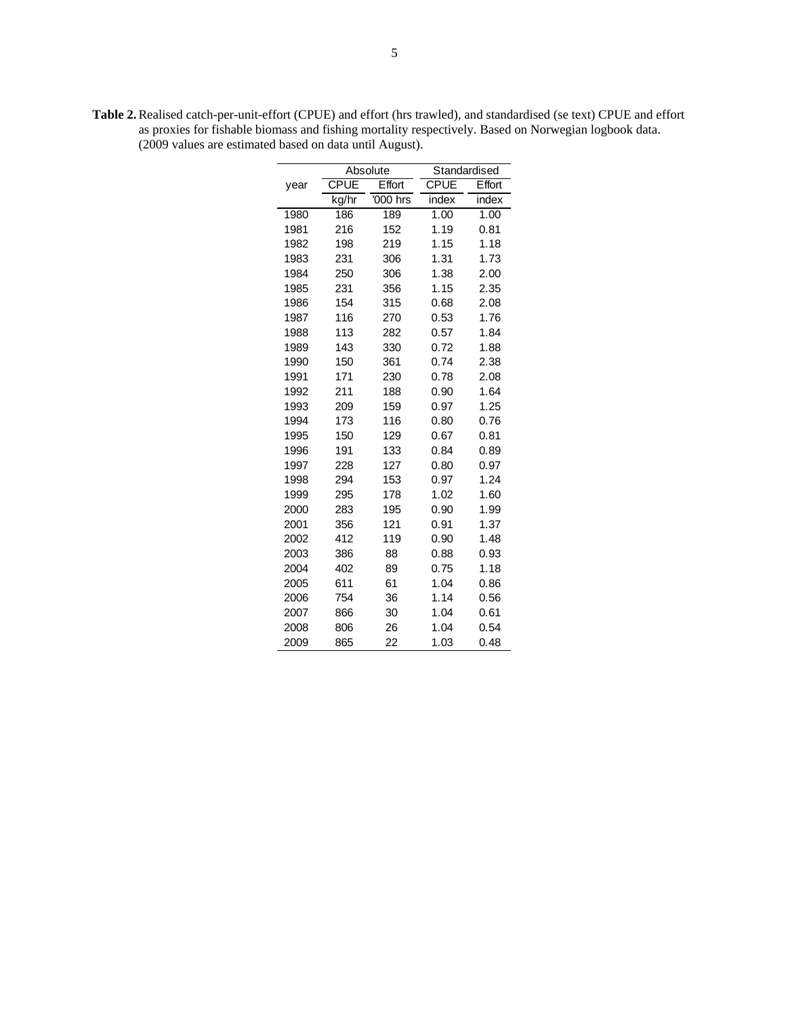| <b>Table 2.</b> Realised catch-per-unit-effort (CPUE) and effort (hrs trawled), and standardised (se text) CPUE and effort |
|----------------------------------------------------------------------------------------------------------------------------|
| as proxies for fishable biomass and fishing mortality respectively. Based on Norwegian logbook data.                       |
| (2009 values are estimated based on data until August).                                                                    |

|      |             | Absolute | Standardised |        |  |
|------|-------------|----------|--------------|--------|--|
| year | <b>CPUE</b> | Effort   | <b>CPUE</b>  | Effort |  |
|      | kg/hr       | '000 hrs | index        | index  |  |
| 1980 | 186         | 189      | 1.00         | 1.00   |  |
| 1981 | 216         | 152      | 1.19         | 0.81   |  |
| 1982 | 198         | 219      | 1.15         | 1.18   |  |
| 1983 | 231         | 306      | 1.31         | 1.73   |  |
| 1984 | 250         | 306      | 1.38         | 2.00   |  |
| 1985 | 231         | 356      | 1.15         | 2.35   |  |
| 1986 | 154         | 315      | 0.68         | 2.08   |  |
| 1987 | 116         | 270      | 0.53         | 1.76   |  |
| 1988 | 113         | 282      | 0.57         | 1.84   |  |
| 1989 | 143         | 330      | 0.72         | 1.88   |  |
| 1990 | 150         | 361      | 0.74         | 2.38   |  |
| 1991 | 171         | 230      | 0.78         | 2.08   |  |
| 1992 | 211         | 188      | 0.90         | 1.64   |  |
| 1993 | 209         | 159      | 0.97         | 1.25   |  |
| 1994 | 173         | 116      | 0.80         | 0.76   |  |
| 1995 | 150         | 129      | 0.67         | 0.81   |  |
| 1996 | 191         | 133      | 0.84         | 0.89   |  |
| 1997 | 228         | 127      | 0.80         | 0.97   |  |
| 1998 | 294         | 153      | 0.97         | 1.24   |  |
| 1999 | 295         | 178      | 1.02         | 1.60   |  |
| 2000 | 283         | 195      | 0.90         | 1.99   |  |
| 2001 | 356         | 121      | 0.91         | 1.37   |  |
| 2002 | 412         | 119      | 0.90         | 1.48   |  |
| 2003 | 386         | 88       | 0.88         | 0.93   |  |
| 2004 | 402         | 89       | 0.75         | 1.18   |  |
| 2005 | 611         | 61       | 1.04         | 0.86   |  |
| 2006 | 754         | 36       | 1.14         | 0.56   |  |
| 2007 | 866         | 30       | 1.04         | 0.61   |  |
| 2008 | 806         | 26       | 1.04         | 0.54   |  |
| 2009 | 865         | 22       | 1.03         | 0.48   |  |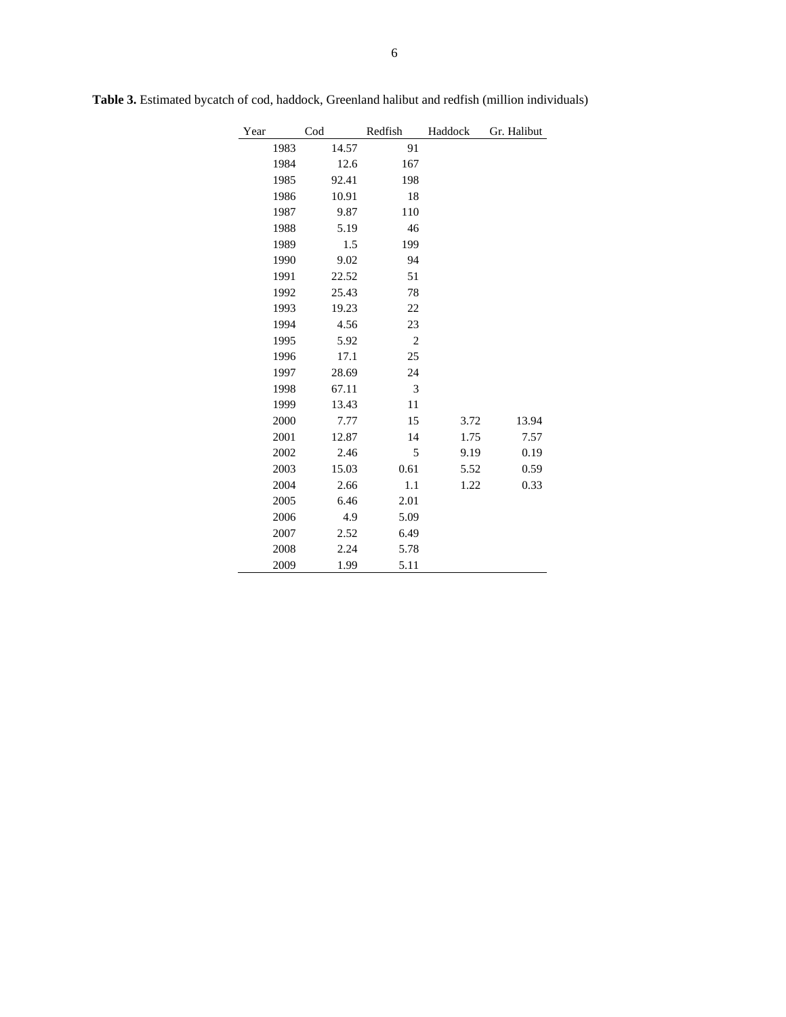| Year | Cod |       | Redfish        | Haddock | Gr. Halibut |
|------|-----|-------|----------------|---------|-------------|
| 1983 |     | 14.57 | 91             |         |             |
| 1984 |     | 12.6  | 167            |         |             |
| 1985 |     | 92.41 | 198            |         |             |
| 1986 |     | 10.91 | 18             |         |             |
| 1987 |     | 9.87  | 110            |         |             |
| 1988 |     | 5.19  | 46             |         |             |
| 1989 |     | 1.5   | 199            |         |             |
| 1990 |     | 9.02  | 94             |         |             |
| 1991 |     | 22.52 | 51             |         |             |
| 1992 |     | 25.43 | 78             |         |             |
| 1993 |     | 19.23 | 22             |         |             |
| 1994 |     | 4.56  | 23             |         |             |
| 1995 |     | 5.92  | $\overline{2}$ |         |             |
| 1996 |     | 17.1  | 25             |         |             |
| 1997 |     | 28.69 | 24             |         |             |
| 1998 |     | 67.11 | 3              |         |             |
| 1999 |     | 13.43 | 11             |         |             |
| 2000 |     | 7.77  | 15             | 3.72    | 13.94       |
| 2001 |     | 12.87 | 14             | 1.75    | 7.57        |
| 2002 |     | 2.46  | 5              | 9.19    | 0.19        |
| 2003 |     | 15.03 | 0.61           | 5.52    | 0.59        |
| 2004 |     | 2.66  | 1.1            | 1.22    | 0.33        |
| 2005 |     | 6.46  | 2.01           |         |             |
| 2006 |     | 4.9   | 5.09           |         |             |
| 2007 |     | 2.52  | 6.49           |         |             |
| 2008 |     | 2.24  | 5.78           |         |             |
| 2009 |     | 1.99  | 5.11           |         |             |

**Table 3.** Estimated bycatch of cod, haddock, Greenland halibut and redfish (million individuals)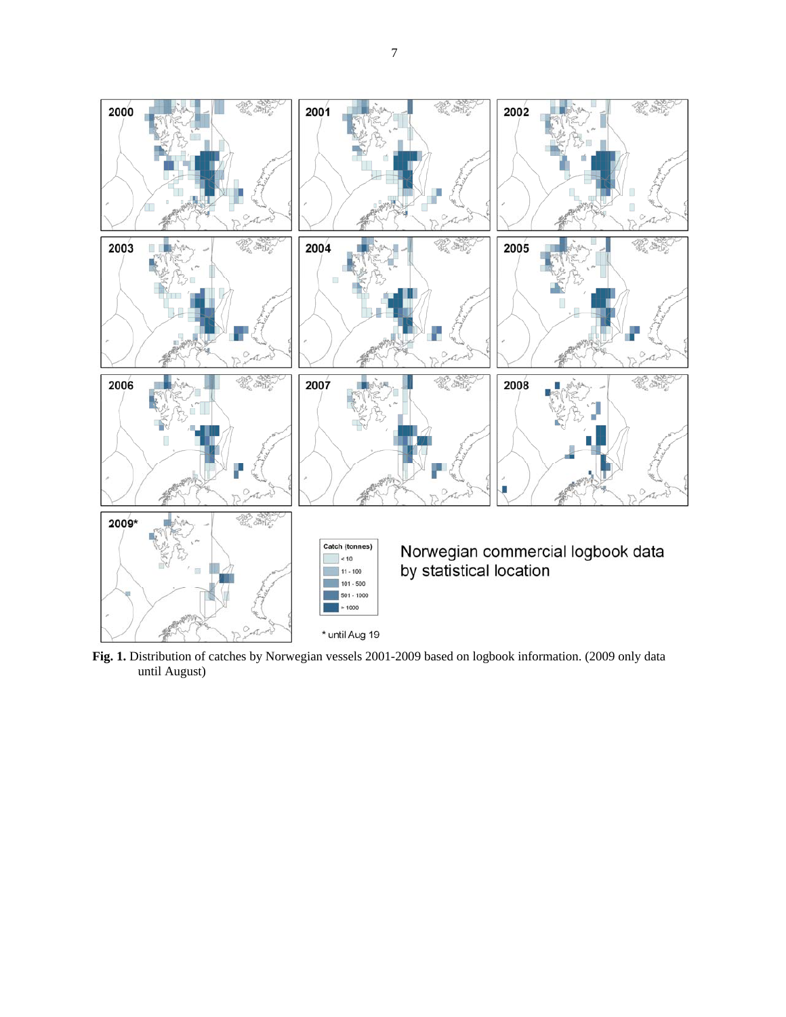

**Fig. 1.** Distribution of catches by Norwegian vessels 2001-2009 based on logbook information. (2009 only data until August)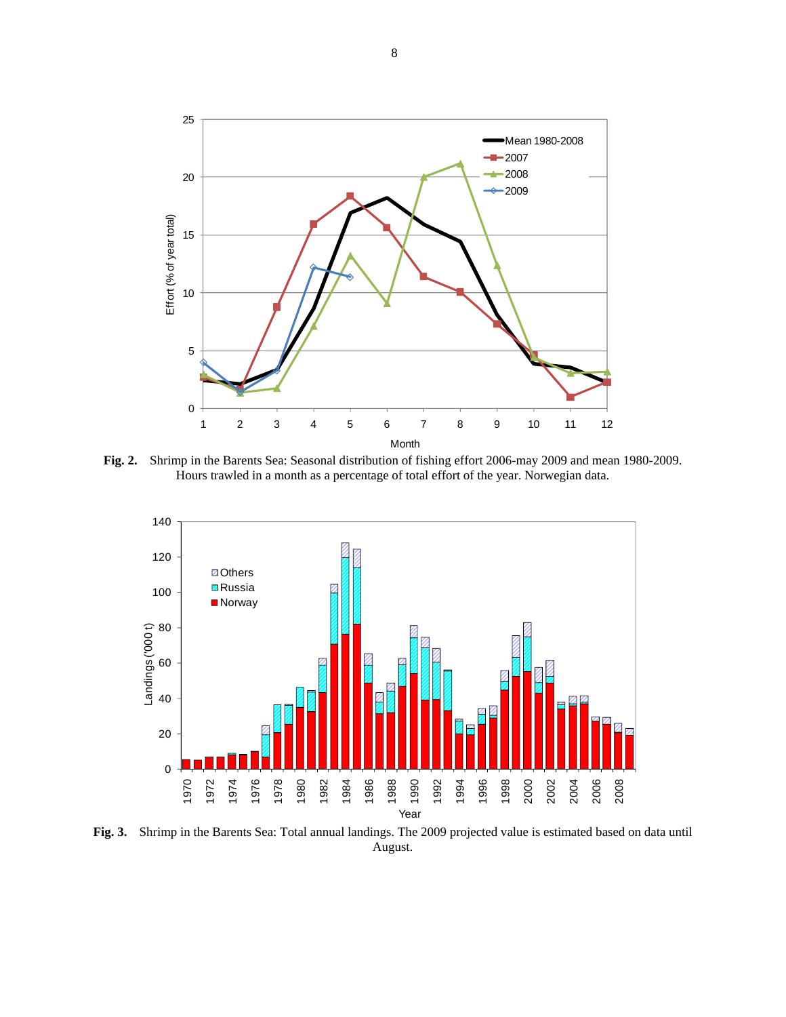

**Fig. 2.** Shrimp in the Barents Sea: Seasonal distribution of fishing effort 2006-may 2009 and mean 1980-2009. Hours trawled in a month as a percentage of total effort of the year. Norwegian data.



**Fig. 3.** Shrimp in the Barents Sea: Total annual landings. The 2009 projected value is estimated based on data until August.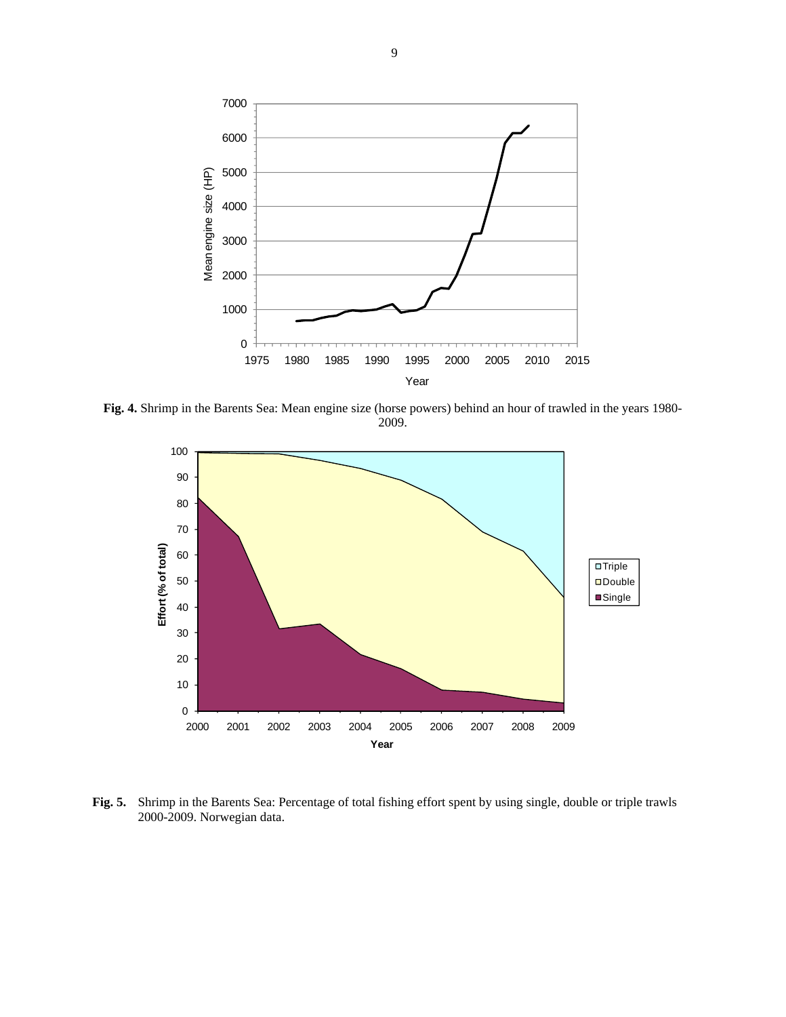

**Fig. 4.** Shrimp in the Barents Sea: Mean engine size (horse powers) behind an hour of trawled in the years 1980- 2009.



**Fig. 5.** Shrimp in the Barents Sea: Percentage of total fishing effort spent by using single, double or triple trawls 2000-2009. Norwegian data.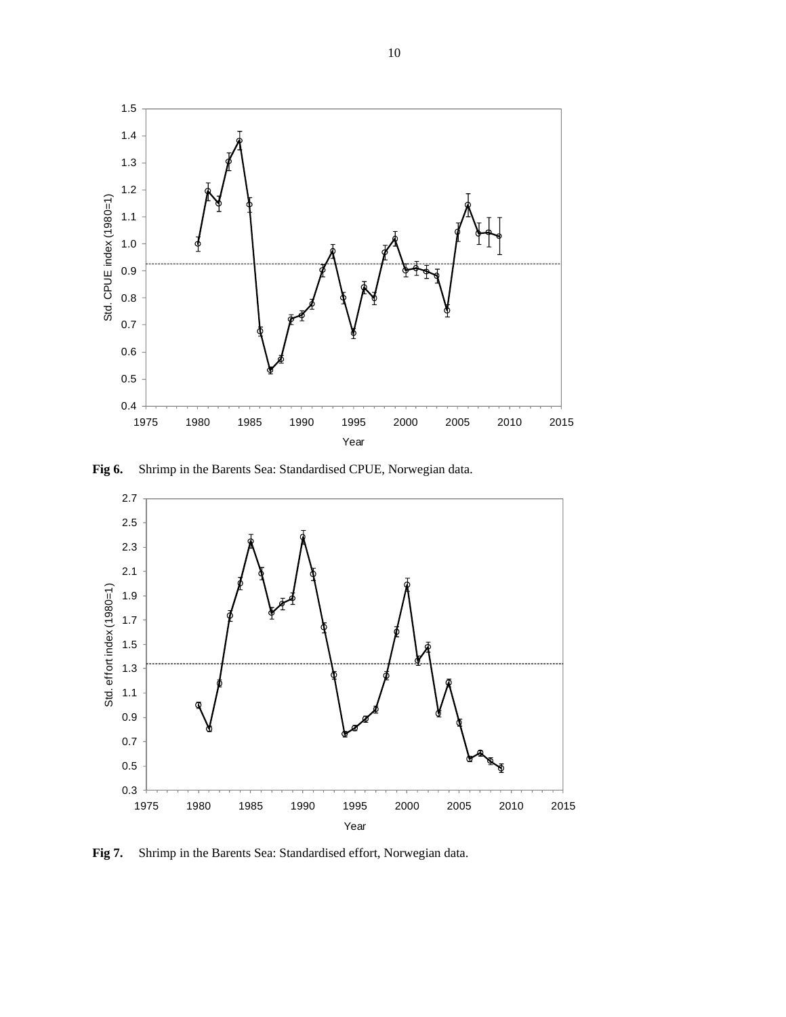

**Fig 6.** Shrimp in the Barents Sea: Standardised CPUE, Norwegian data.



**Fig 7.** Shrimp in the Barents Sea: Standardised effort, Norwegian data.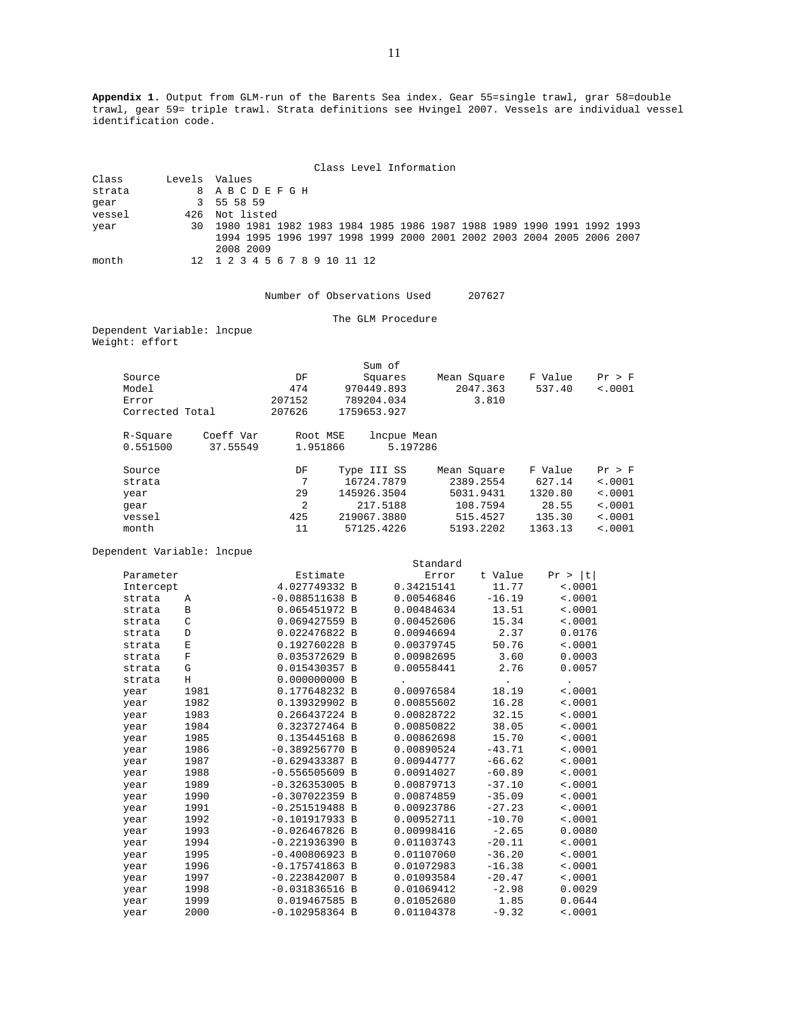**Appendix 1.** Output from GLM-run of the Barents Sea index. Gear 55=single trawl, grar 58=double trawl, gear 59= triple trawl. Strata definitions see Hvingel 2007. Vessels are individual vessel identification code.

|        | Class Level Information                                                  |
|--------|--------------------------------------------------------------------------|
| Class  | Levels Values                                                            |
| strata | 8 ABCDEFGH                                                               |
| gear   | 3 55 58 59                                                               |
| vessel | 426 Not listed                                                           |
| year   | 30 1980 1981 1982 1983 1984 1985 1986 1987 1988 1989 1990 1991 1992 1993 |
|        | 1994 1995 1996 1997 1998 1999 2000 2001 2002 2003 2004 2005 2006 2007    |
|        | 2008 2009                                                                |
| month  | 12 1 2 3 4 5 6 7 8 9 10 11 12                                            |

Number of Observations Used 207627

The GLM Procedure

Dependent Variable: lncpue Weight: effort

|                 |           |          | Sum of      |             |         |         |
|-----------------|-----------|----------|-------------|-------------|---------|---------|
| Source          |           | DF       | Squares     | Mean Square | F Value | Pr > F  |
| Model           |           | 474      | 970449.893  | 2047.363    | 537.40  | < .0001 |
| Error           |           | 207152   | 789204.034  | 3.810       |         |         |
| Corrected Total |           | 207626   | 1759653.927 |             |         |         |
| R-Square        | Coeff Var | Root MSE | lncpue Mean |             |         |         |
| 0.551500        | 37.55549  | 1.951866 | 5.197286    |             |         |         |
| Source          |           | DF       | Type III SS | Mean Square | F Value | Pr > F  |
| strata          |           | 7        | 16724.7879  | 2389.2554   | 627.14  | < .0001 |
| year            |           | 29       | 145926.3504 | 5031.9431   | 1320.80 | < .0001 |
| qear            |           | 2        | 217.5188    | 108.7594    | 28.55   | < .0001 |
| vessel          |           | 425      | 219067.3880 | 515.4527    | 135.30  | < .0001 |
| month           |           | 11       | 57125.4226  | 5193.2202   | 1363.13 | < 0.001 |

Dependent Variable: lncpue

|           |               |                  | Standard   |           |           |
|-----------|---------------|------------------|------------|-----------|-----------|
| Parameter |               | Estimate         | Error      | t Value   | Pr >  t   |
| Intercept |               | 4.027749332 B    | 0.34215141 | 11.77     | < .0001   |
| strata    | Α             | $-0.088511638$ B | 0.00546846 | $-16.19$  | < .0001   |
| strata    | В             | 0.065451972 B    | 0.00484634 | 13.51     | < .0001   |
| strata    | $\mathcal{C}$ | 0.069427559 B    | 0.00452606 | 15.34     | < .0001   |
| strata    | D             | 0.022476822 B    | 0.00946694 | 2.37      | 0.0176    |
| strata    | $\mathbf E$   | 0.192760228 B    | 0.00379745 | 50.76     | < .0001   |
| strata    | $\mathbf F$   | 0.035372629 B    | 0.00982695 | 3.60      | 0.0003    |
| strata    | G             | 0.015430357 B    | 0.00558441 | 2.76      | 0.0057    |
| strata    | H             | 0.000000000B     |            | $\bullet$ | $\bullet$ |
| year      | 1981          | 0.177648232 B    | 0.00976584 | 18.19     | < .0001   |
| year      | 1982          | 0.139329902 B    | 0.00855602 | 16.28     | < .0001   |
| year      | 1983          | 0.266437224 B    | 0.00828722 | 32.15     | < .0001   |
| year      | 1984          | 0.323727464 B    | 0.00850822 | 38.05     | < .0001   |
| year      | 1985          | 0.135445168 B    | 0.00862698 | 15.70     | < .0001   |
| year      | 1986          | $-0.389256770 B$ | 0.00890524 | $-43.71$  | < .0001   |
| year      | 1987          | $-0.629433387 B$ | 0.00944777 | $-66.62$  | < .0001   |
| year      | 1988          | $-0.556505609$ B | 0.00914027 | $-60.89$  | < .0001   |
| year      | 1989          | $-0.326353005$ B | 0.00879713 | $-37.10$  | < .0001   |
| year      | 1990          | $-0.307022359$ B | 0.00874859 | $-35.09$  | < .0001   |
| year      | 1991          | $-0.251519488$ B | 0.00923786 | $-27.23$  | < .0001   |
| year      | 1992          | $-0.101917933 B$ | 0.00952711 | $-10.70$  | < .0001   |
| year      | 1993          | $-0.026467826$ B | 0.00998416 | $-2.65$   | 0.0080    |
| year      | 1994          | $-0.221936390 B$ | 0.01103743 | $-20.11$  | < .0001   |
| year      | 1995          | $-0.400806923 B$ | 0.01107060 | $-36.20$  | < .0001   |
| year      | 1996          | $-0.175741863$ B | 0.01072983 | $-16.38$  | < .0001   |
| year      | 1997          | $-0.223842007$ B | 0.01093584 | $-20.47$  | < .0001   |
| year      | 1998          | $-0.031836516 B$ | 0.01069412 | $-2.98$   | 0.0029    |
| year      | 1999          | 0.019467585 B    | 0.01052680 | 1.85      | 0.0644    |
| year      | 2000          | $-0.102958364 B$ | 0.01104378 | $-9.32$   | < .0001   |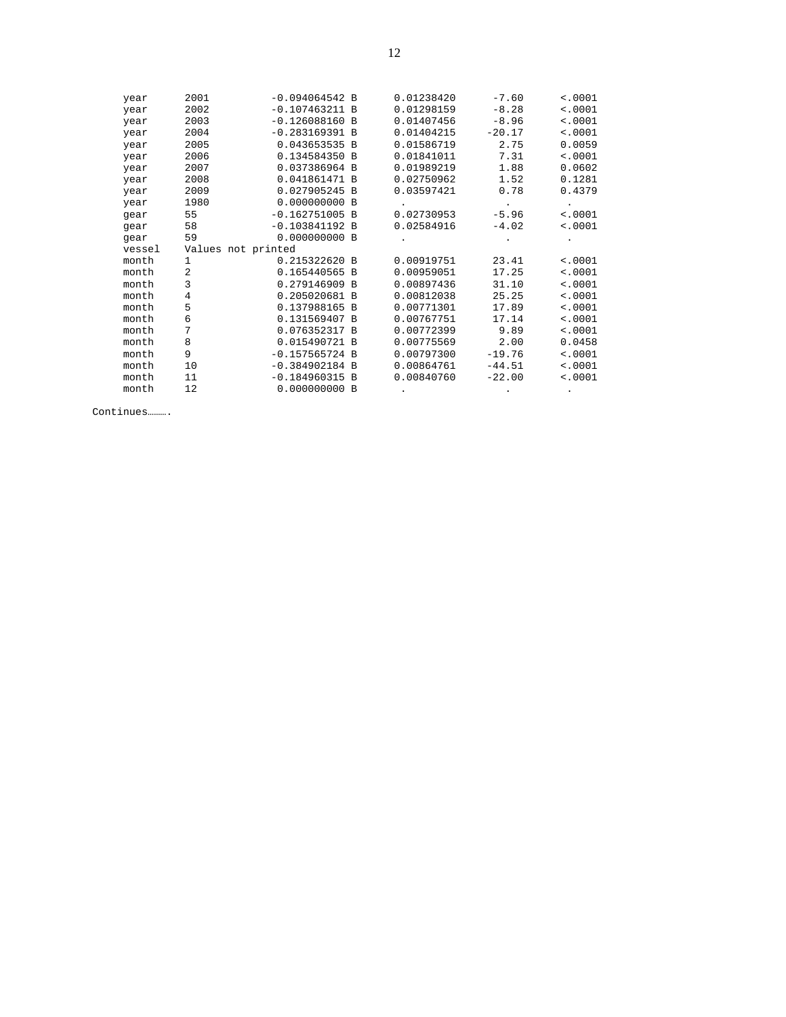| year   | 2001               | $-0.094064542 B$ | 0.01238420 | $-7.60$  | < .0001 |
|--------|--------------------|------------------|------------|----------|---------|
| year   | 2002               | $-0.107463211$ B | 0.01298159 | $-8.28$  | < .0001 |
| year   | 2003               | $-0.126088160$ B | 0.01407456 | $-8.96$  | < .0001 |
| year   | 2004               | $-0.283169391 B$ | 0.01404215 | $-20.17$ | < .0001 |
| year   | 2005               | 0.043653535 B    | 0.01586719 | 2.75     | 0.0059  |
| year   | 2006               | 0.134584350 B    | 0.01841011 | 7.31     | < .0001 |
| year   | 2007               | 0.037386964 B    | 0.01989219 | 1.88     | 0.0602  |
| year   | 2008               | 0.041861471 B    | 0.02750962 | 1.52     | 0.1281  |
| year   | 2009               | 0.027905245 B    | 0.03597421 | 0.78     | 0.4379  |
| year   | 1980               | 0.000000000 B    |            | $\cdot$  |         |
| gear   | 55                 | $-0.162751005$ B | 0.02730953 | $-5.96$  | < .0001 |
| gear   | 58                 | $-0.103841192 B$ | 0.02584916 | $-4.02$  | < .0001 |
| gear   | 59                 | 0.000000000 B    |            |          |         |
| vessel | Values not printed |                  |            |          |         |
| month  | $\mathbf{1}$       | 0.215322620 B    | 0.00919751 | 23.41    | < .0001 |
| month  | $\overline{a}$     | 0.165440565 B    | 0.00959051 | 17.25    | < .0001 |
| month  | 3                  | 0.279146909 B    | 0.00897436 | 31.10    | < .0001 |
| month  | $\overline{4}$     | 0.205020681 B    | 0.00812038 | 25.25    | < .0001 |
| month  | 5                  | 0.137988165 B    | 0.00771301 | 17.89    | < .0001 |
| month  | 6                  | 0.131569407 B    | 0.00767751 | 17.14    | < .0001 |
| month  | 7                  | 0.076352317 B    | 0.00772399 | 9.89     | < .0001 |
| month  | 8                  | 0.015490721 B    | 0.00775569 | 2.00     | 0.0458  |
| month  | 9                  | $-0.157565724$ B | 0.00797300 | $-19.76$ | < .0001 |
| month  | 10                 | $-0.384902184$ B | 0.00864761 | $-44.51$ | < .0001 |
| month  | 11                 | $-0.184960315 B$ | 0.00840760 | $-22.00$ | < .0001 |
| month  | 12                 | 0.000000000B     |            |          |         |
|        |                    |                  |            |          |         |

Continues……….